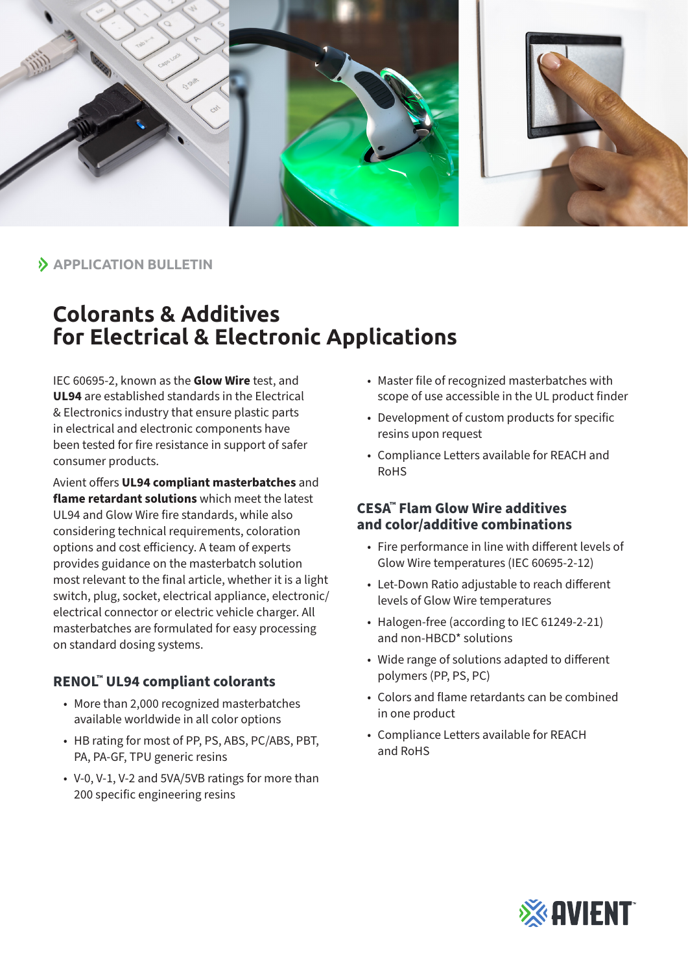

**APPLICATION BULLETIN**

## **Colorants & Additives for Electrical & Electronic Applications**

IEC 60695-2, known as the **Glow Wire** test, and **UL94** are established standards in the Electrical & Electronics industry that ensure plastic parts in electrical and electronic components have been tested for fire resistance in support of safer consumer products.

Avient offers **UL94 compliant masterbatches** and **flame retardant solutions** which meet the latest UL94 and Glow Wire fire standards, while also considering technical requirements, coloration options and cost efficiency. A team of experts provides guidance on the masterbatch solution most relevant to the final article, whether it is a light switch, plug, socket, electrical appliance, electronic/ electrical connector or electric vehicle charger. All masterbatches are formulated for easy processing on standard dosing systems.

## **RENOL™ UL94 compliant colorants**

- More than 2,000 recognized masterbatches available worldwide in all color options
- HB rating for most of PP, PS, ABS, PC/ABS, PBT, PA, PA-GF, TPU generic resins
- V-0, V-1, V-2 and 5VA/5VB ratings for more than 200 specific engineering resins
- Master file of recognized masterbatches with scope of use accessible in the UL product finder
- Development of custom products for specific resins upon request
- Compliance Letters available for REACH and RoHS

## **CESA™ Flam Glow Wire additives and color/additive combinations**

- Fire performance in line with different levels of Glow Wire temperatures (IEC 60695-2-12)
- Let-Down Ratio adjustable to reach different levels of Glow Wire temperatures
- Halogen-free (according to IEC 61249-2-21) and non-HBCD\* solutions
- Wide range of solutions adapted to different polymers (PP, PS, PC)
- Colors and flame retardants can be combined in one product
- Compliance Letters available for REACH and RoHS